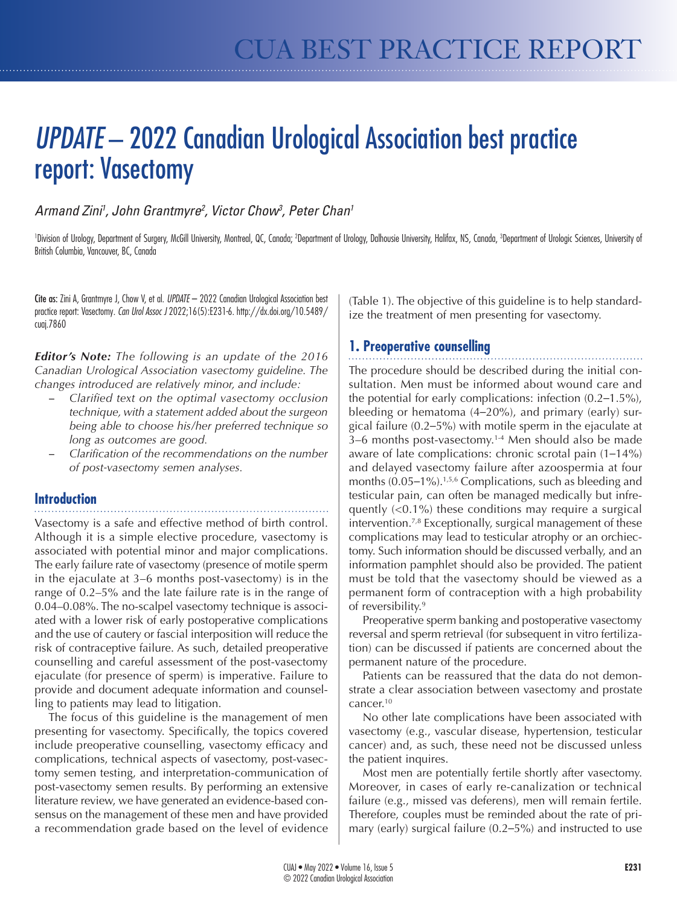# *UPDATE* – 2022 Canadian Urological Association best practice report: Vasectomy

# *Armand Zini1 , John Grantmyre2 , Victor Chow3 , Peter Chan1*

'Division of Urology, Department of Surgery, McGill University, Montreal, QC, Canada; <sup>2</sup>Department of Urology, Dalhousie University, Halifax, NS, Canada, <sup>3</sup>Department of Urologic Sciences, University of British Columbia, Vancouver, BC, Canada

Cite as: Zini A, Grantmyre J, Chow V, et al. *UPDATE* – 2022 Canadian Urological Association best practice report: Vasectomy*. Can Urol Assoc J* 2022;16(5):E231-6. http://dx.doi.org/10.5489/ cuaj.7860

*Editor's Note: The following is an update of the 2016 Canadian Urological Association vasectomy guideline. The changes introduced are relatively minor, and include:*

- Clarified text on the optimal vasectomy occlusion *technique, with a statement added about the surgeon being able to choose his/her preferred technique so long as outcomes are good.*
- Clarification of the recommendations on the number *of post-vasectomy semen analyses.*

# **Introduction**

Vasectomy is a safe and effective method of birth control. Although it is a simple elective procedure, vasectomy is associated with potential minor and major complications. The early failure rate of vasectomy (presence of motile sperm in the ejaculate at 3–6 months post-vasectomy) is in the range of 0.2–5% and the late failure rate is in the range of 0.04–0.08%. The no-scalpel vasectomy technique is associated with a lower risk of early postoperative complications and the use of cautery or fascial interposition will reduce the risk of contraceptive failure. As such, detailed preoperative counselling and careful assessment of the post-vasectomy ejaculate (for presence of sperm) is imperative. Failure to provide and document adequate information and counselling to patients may lead to litigation.

The focus of this guideline is the management of men presenting for vasectomy. Specifically, the topics covered include preoperative counselling, vasectomy efficacy and complications, technical aspects of vasectomy, post-vasectomy semen testing, and interpretation-communication of post-vasectomy semen results. By performing an extensive literature review, we have generated an evidence-based consensus on the management of these men and have provided a recommendation grade based on the level of evidence

(Table 1). The objective of this guideline is to help standardize the treatment of men presenting for vasectomy.

# **1. Preoperative counselling**

The procedure should be described during the initial consultation. Men must be informed about wound care and the potential for early complications: infection (0.2–1.5%), bleeding or hematoma (4–20%), and primary (early) surgical failure (0.2–5%) with motile sperm in the ejaculate at 3–6 months post-vasectomy.1-4 Men should also be made aware of late complications: chronic scrotal pain (1–14%) and delayed vasectomy failure after azoospermia at four months (0.05–1%).<sup>1,5,6</sup> Complications, such as bleeding and testicular pain, can often be managed medically but infrequently (<0.1%) these conditions may require a surgical intervention.7,8 Exceptionally, surgical management of these complications may lead to testicular atrophy or an orchiectomy. Such information should be discussed verbally, and an information pamphlet should also be provided. The patient must be told that the vasectomy should be viewed as a permanent form of contraception with a high probability of reversibility.<sup>9</sup>

Preoperative sperm banking and postoperative vasectomy reversal and sperm retrieval (for subsequent in vitro fertilization) can be discussed if patients are concerned about the permanent nature of the procedure.

Patients can be reassured that the data do not demonstrate a clear association between vasectomy and prostate cancer.10

No other late complications have been associated with vasectomy (e.g., vascular disease, hypertension, testicular cancer) and, as such, these need not be discussed unless the patient inquires.

Most men are potentially fertile shortly after vasectomy. Moreover, in cases of early re-canalization or technical failure (e.g., missed vas deferens), men will remain fertile. Therefore, couples must be reminded about the rate of primary (early) surgical failure (0.2–5%) and instructed to use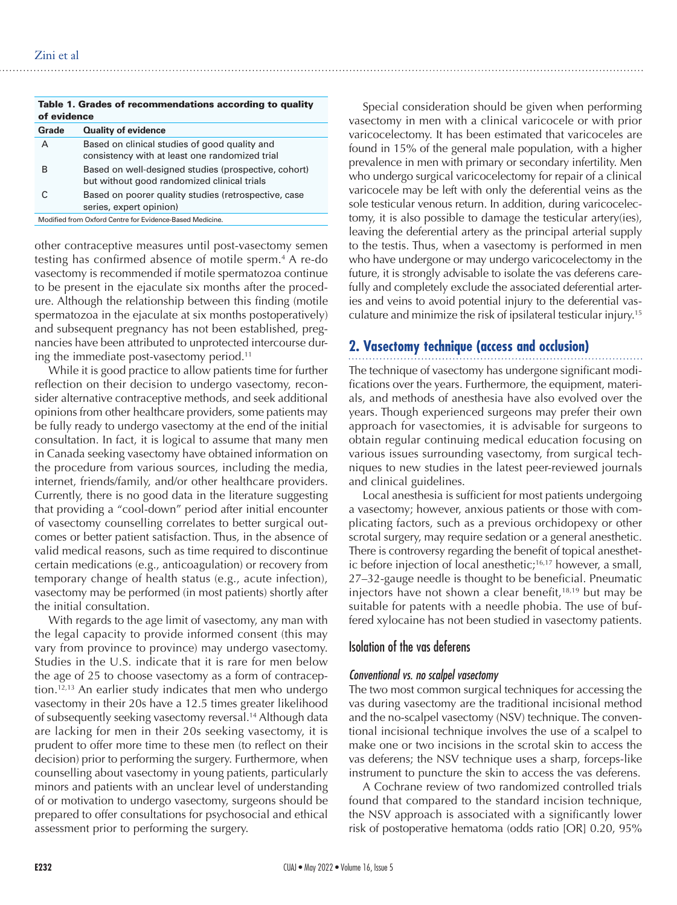| Table 1. Grades of recommendations according to quality<br>of evidence |                                                                                                     |
|------------------------------------------------------------------------|-----------------------------------------------------------------------------------------------------|
| Grade                                                                  | <b>Quality of evidence</b>                                                                          |
| А                                                                      | Based on clinical studies of good quality and<br>consistency with at least one randomized trial     |
| в                                                                      | Based on well-designed studies (prospective, cohort)<br>but without good randomized clinical trials |
| C                                                                      | Based on poorer quality studies (retrospective, case<br>series, expert opinion)                     |
| Modified from Oxford Centre for Evidence-Based Medicine.               |                                                                                                     |

other contraceptive measures until post-vasectomy semen testing has confirmed absence of motile sperm.<sup>4</sup> A re-do vasectomy is recommended if motile spermatozoa continue to be present in the ejaculate six months after the procedure. Although the relationship between this finding (motile spermatozoa in the ejaculate at six months postoperatively) and subsequent pregnancy has not been established, pregnancies have been attributed to unprotected intercourse during the immediate post-vasectomy period.<sup>11</sup>

While it is good practice to allow patients time for further reflection on their decision to undergo vasectomy, reconsider alternative contraceptive methods, and seek additional opinions from other healthcare providers, some patients may be fully ready to undergo vasectomy at the end of the initial consultation. In fact, it is logical to assume that many men in Canada seeking vasectomy have obtained information on the procedure from various sources, including the media, internet, friends/family, and/or other healthcare providers. Currently, there is no good data in the literature suggesting that providing a "cool-down" period after initial encounter of vasectomy counselling correlates to better surgical outcomes or better patient satisfaction. Thus, in the absence of valid medical reasons, such as time required to discontinue certain medications (e.g., anticoagulation) or recovery from temporary change of health status (e.g., acute infection), vasectomy may be performed (in most patients) shortly after the initial consultation.

With regards to the age limit of vasectomy, any man with the legal capacity to provide informed consent (this may vary from province to province) may undergo vasectomy. Studies in the U.S. indicate that it is rare for men below the age of 25 to choose vasectomy as a form of contraception.12,13 An earlier study indicates that men who undergo vasectomy in their 20s have a 12.5 times greater likelihood of subsequently seeking vasectomy reversal.14 Although data are lacking for men in their 20s seeking vasectomy, it is prudent to offer more time to these men (to reflect on their decision) prior to performing the surgery. Furthermore, when counselling about vasectomy in young patients, particularly minors and patients with an unclear level of understanding of or motivation to undergo vasectomy, surgeons should be prepared to offer consultations for psychosocial and ethical assessment prior to performing the surgery.

Special consideration should be given when performing vasectomy in men with a clinical varicocele or with prior varicocelectomy. It has been estimated that varicoceles are found in 15% of the general male population, with a higher prevalence in men with primary or secondary infertility. Men who undergo surgical varicocelectomy for repair of a clinical varicocele may be left with only the deferential veins as the sole testicular venous return. In addition, during varicocelectomy, it is also possible to damage the testicular artery(ies), leaving the deferential artery as the principal arterial supply to the testis. Thus, when a vasectomy is performed in men who have undergone or may undergo varicocelectomy in the future, it is strongly advisable to isolate the vas deferens carefully and completely exclude the associated deferential arteries and veins to avoid potential injury to the deferential vasculature and minimize the risk of ipsilateral testicular injury.15

# **2. Vasectomy technique (access and occlusion)**

The technique of vasectomy has undergone significant modifications over the years. Furthermore, the equipment, materials, and methods of anesthesia have also evolved over the years. Though experienced surgeons may prefer their own approach for vasectomies, it is advisable for surgeons to obtain regular continuing medical education focusing on various issues surrounding vasectomy, from surgical techniques to new studies in the latest peer-reviewed journals and clinical guidelines.

Local anesthesia is sufficient for most patients undergoing a vasectomy; however, anxious patients or those with complicating factors, such as a previous orchidopexy or other scrotal surgery, may require sedation or a general anesthetic. There is controversy regarding the benefit of topical anesthetic before injection of local anesthetic; $16,17$  however, a small, 27–32-gauge needle is thought to be beneficial. Pneumatic injectors have not shown a clear benefit, $18,19$  but may be suitable for patents with a needle phobia. The use of buffered xylocaine has not been studied in vasectomy patients.

# Isolation of the vas deferens

## *Conventional vs. no scalpel vasectomy*

The two most common surgical techniques for accessing the vas during vasectomy are the traditional incisional method and the no-scalpel vasectomy (NSV) technique. The conventional incisional technique involves the use of a scalpel to make one or two incisions in the scrotal skin to access the vas deferens; the NSV technique uses a sharp, forceps-like instrument to puncture the skin to access the vas deferens.

A Cochrane review of two randomized controlled trials found that compared to the standard incision technique, the NSV approach is associated with a significantly lower risk of postoperative hematoma (odds ratio [OR] 0.20, 95%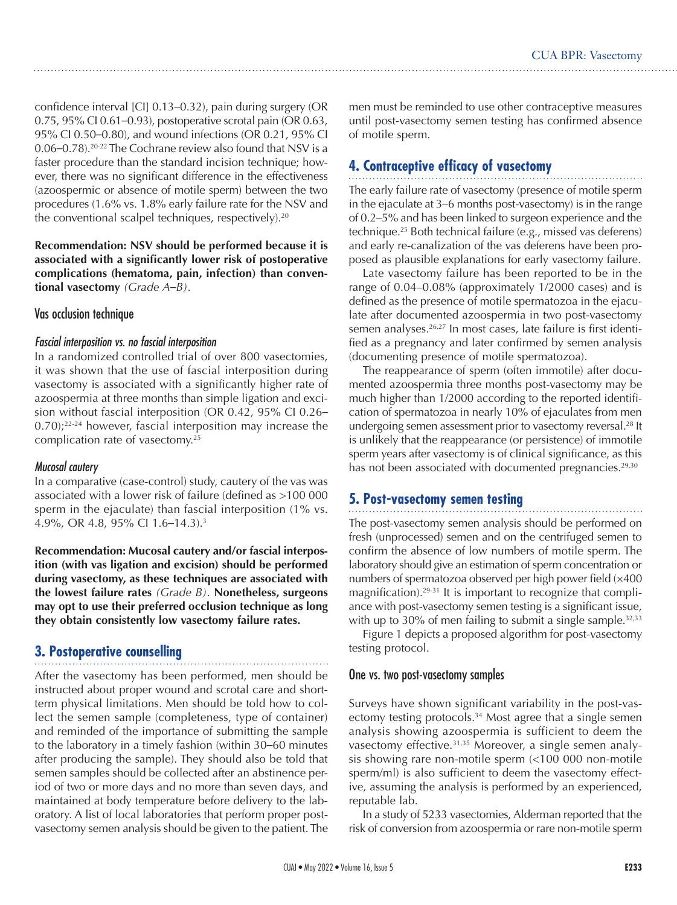confidence interval [CI] 0.13–0.32), pain during surgery (OR 0.75, 95% CI 0.61–0.93), postoperative scrotal pain (OR 0.63, 95% CI 0.50–0.80), and wound infections (OR 0.21, 95% CI 0.06–0.78).20-22 The Cochrane review also found that NSV is a faster procedure than the standard incision technique; however, there was no significant difference in the effectiveness (azoospermic or absence of motile sperm) between the two procedures (1.6% vs. 1.8% early failure rate for the NSV and the conventional scalpel techniques, respectively).20

**Recommendation: NSV should be performed because it is associated with a significantly lower risk of postoperative complications (hematoma, pain, infection) than conventional vasectomy** *(Grade A–B)*.

## Vas occlusion technique

#### *Fascial interposition vs. no fascial interposition*

In a randomized controlled trial of over 800 vasectomies, it was shown that the use of fascial interposition during vasectomy is associated with a significantly higher rate of azoospermia at three months than simple ligation and excision without fascial interposition (OR 0.42, 95% CI 0.26–  $(0.70)$ ;<sup>22-24</sup> however, fascial interposition may increase the complication rate of vasectomy.25

#### *Mucosal cautery*

In a comparative (case-control) study, cautery of the vas was associated with a lower risk of failure (defined as >100 000 sperm in the ejaculate) than fascial interposition (1% vs. 4.9%, OR 4.8, 95% CI 1.6–14.3).3

**Recommendation: Mucosal cautery and/or fascial interposition (with vas ligation and excision) should be performed during vasectomy, as these techniques are associated with the lowest failure rates** *(Grade B)*. **Nonetheless, surgeons may opt to use their preferred occlusion technique as long they obtain consistently low vasectomy failure rates.**

# **3. Postoperative counselling**

After the vasectomy has been performed, men should be instructed about proper wound and scrotal care and shortterm physical limitations. Men should be told how to collect the semen sample (completeness, type of container) and reminded of the importance of submitting the sample to the laboratory in a timely fashion (within 30–60 minutes after producing the sample). They should also be told that semen samples should be collected after an abstinence period of two or more days and no more than seven days, and maintained at body temperature before delivery to the laboratory. A list of local laboratories that perform proper postvasectomy semen analysis should be given to the patient. The men must be reminded to use other contraceptive measures until post-vasectomy semen testing has confirmed absence of motile sperm.

# **4. Contraceptive efficacy of vasectomy**

The early failure rate of vasectomy (presence of motile sperm in the ejaculate at 3–6 months post-vasectomy) is in the range of 0.2–5% and has been linked to surgeon experience and the technique.25 Both technical failure (e.g., missed vas deferens) and early re-canalization of the vas deferens have been proposed as plausible explanations for early vasectomy failure.

Late vasectomy failure has been reported to be in the range of 0.04–0.08% (approximately 1/2000 cases) and is defined as the presence of motile spermatozoa in the ejaculate after documented azoospermia in two post-vasectomy semen analyses.<sup>26,27</sup> In most cases, late failure is first identified as a pregnancy and later confirmed by semen analysis (documenting presence of motile spermatozoa).

The reappearance of sperm (often immotile) after documented azoospermia three months post-vasectomy may be much higher than 1/2000 according to the reported identification of spermatozoa in nearly 10% of ejaculates from men undergoing semen assessment prior to vasectomy reversal.<sup>28</sup> It is unlikely that the reappearance (or persistence) of immotile sperm years after vasectomy is of clinical significance, as this has not been associated with documented pregnancies.<sup>29,30</sup>

# **5. Post-vasectomy semen testing**

The post-vasectomy semen analysis should be performed on fresh (unprocessed) semen and on the centrifuged semen to confirm the absence of low numbers of motile sperm. The laboratory should give an estimation of sperm concentration or numbers of spermatozoa observed per high power field (×400 magnification).29-31 It is important to recognize that compliance with post-vasectomy semen testing is a significant issue, with up to 30% of men failing to submit a single sample. $32,33$ 

Figure 1 depicts a proposed algorithm for post-vasectomy testing protocol.

#### One vs. two post-vasectomy samples

Surveys have shown significant variability in the post-vasectomy testing protocols.<sup>34</sup> Most agree that a single semen analysis showing azoospermia is sufficient to deem the vasectomy effective.<sup>31,35</sup> Moreover, a single semen analysis showing rare non-motile sperm (<100 000 non-motile sperm/ml) is also sufficient to deem the vasectomy effective, assuming the analysis is performed by an experienced, reputable lab.

In a study of 5233 vasectomies, Alderman reported that the risk of conversion from azoospermia or rare non-motile sperm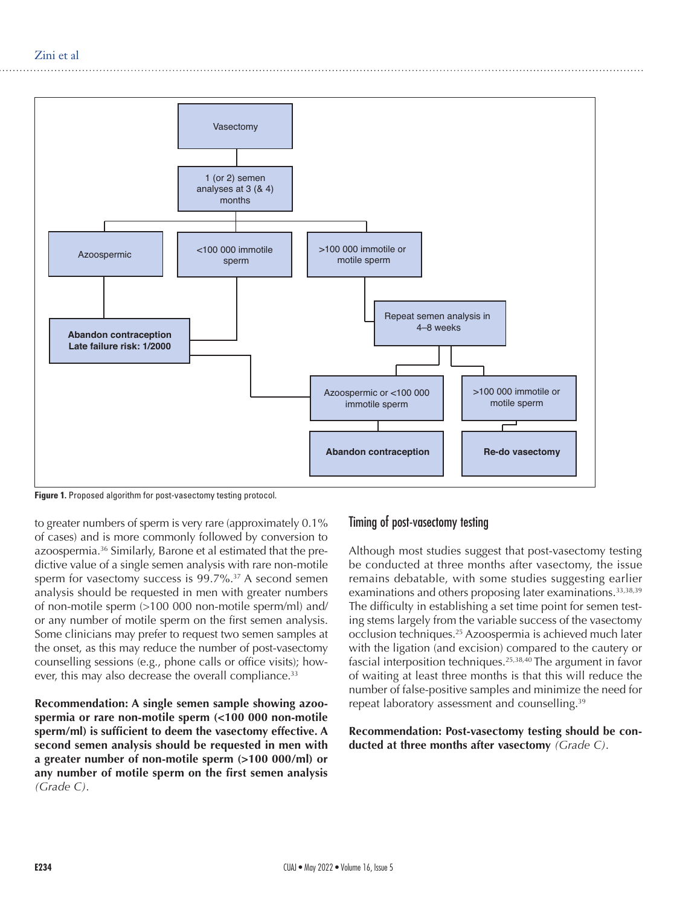

**Figure 1.** Proposed algorithm for post-vasectomy testing protocol.

to greater numbers of sperm is very rare (approximately 0.1% of cases) and is more commonly followed by conversion to azoospermia.36 Similarly, Barone et al estimated that the predictive value of a single semen analysis with rare non-motile sperm for vasectomy success is  $99.7\%$ .<sup>37</sup> A second semen analysis should be requested in men with greater numbers of non-motile sperm (>100 000 non-motile sperm/ml) and/ or any number of motile sperm on the first semen analysis. Some clinicians may prefer to request two semen samples at the onset, as this may reduce the number of post-vasectomy counselling sessions (e.g., phone calls or office visits); however, this may also decrease the overall compliance.<sup>33</sup>

**Recommendation: A single semen sample showing azoospermia or rare non-motile sperm (<100 000 non-motile sperm/ml) is sufficient to deem the vasectomy effective. A second semen analysis should be requested in men with a greater number of non-motile sperm (>100 000/ml) or any number of motile sperm on the first semen analysis** *(Grade C)*.

# Timing of post-vasectomy testing

Although most studies suggest that post-vasectomy testing be conducted at three months after vasectomy, the issue remains debatable, with some studies suggesting earlier examinations and others proposing later examinations.<sup>33,38,39</sup> The difficulty in establishing a set time point for semen testing stems largely from the variable success of the vasectomy occlusion techniques.25 Azoospermia is achieved much later with the ligation (and excision) compared to the cautery or fascial interposition techniques.25,38,40 The argument in favor of waiting at least three months is that this will reduce the number of false-positive samples and minimize the need for repeat laboratory assessment and counselling.<sup>39</sup>

**Recommendation: Post-vasectomy testing should be conducted at three months after vasectomy** *(Grade C)*.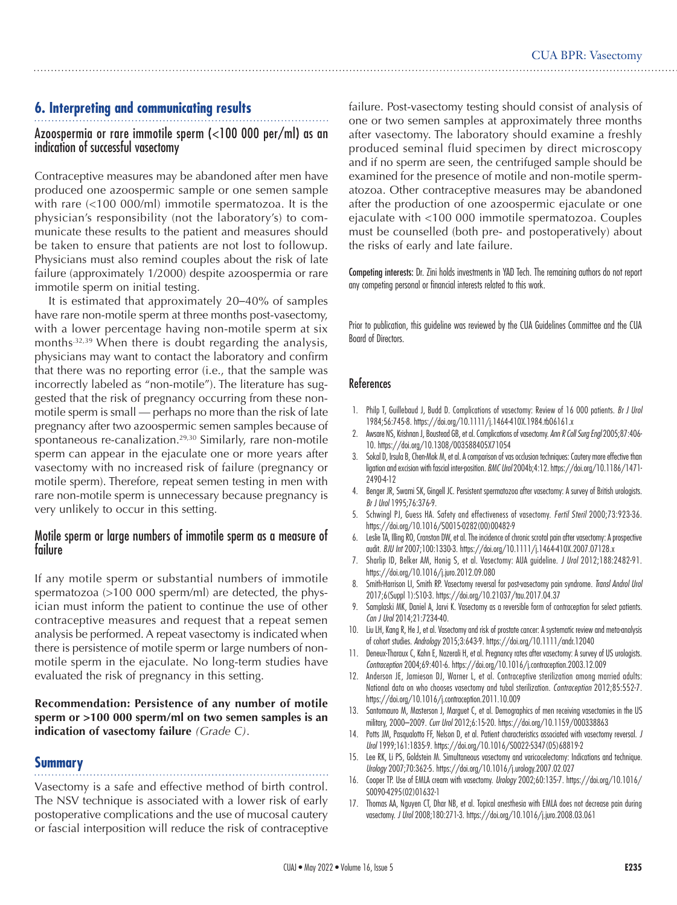# **6. Interpreting and communicating results**

## Azoospermia or rare immotile sperm (<100 000 per/ml) as an indication of successful vasectomy

Contraceptive measures may be abandoned after men have produced one azoospermic sample or one semen sample with rare (<100 000/ml) immotile spermatozoa. It is the physician's responsibility (not the laboratory's) to communicate these results to the patient and measures should be taken to ensure that patients are not lost to followup. Physicians must also remind couples about the risk of late failure (approximately 1/2000) despite azoospermia or rare immotile sperm on initial testing.

It is estimated that approximately 20–40% of samples have rare non-motile sperm at three months post-vasectomy, with a lower percentage having non-motile sperm at six months<sup>32,39</sup> When there is doubt regarding the analysis, physicians may want to contact the laboratory and confirm that there was no reporting error (i.e., that the sample was incorrectly labeled as "non-motile"). The literature has suggested that the risk of pregnancy occurring from these nonmotile sperm is small — perhaps no more than the risk of late pregnancy after two azoospermic semen samples because of spontaneous re-canalization.<sup>29,30</sup> Similarly, rare non-motile sperm can appear in the ejaculate one or more years after vasectomy with no increased risk of failure (pregnancy or motile sperm). Therefore, repeat semen testing in men with rare non-motile sperm is unnecessary because pregnancy is very unlikely to occur in this setting.

## Motile sperm or large numbers of immotile sperm as a measure of failure

If any motile sperm or substantial numbers of immotile spermatozoa (>100 000 sperm/ml) are detected, the physician must inform the patient to continue the use of other contraceptive measures and request that a repeat semen analysis be performed. A repeat vasectomy is indicated when there is persistence of motile sperm or large numbers of nonmotile sperm in the ejaculate. No long-term studies have evaluated the risk of pregnancy in this setting.

### **Recommendation: Persistence of any number of motile sperm or >100 000 sperm/ml on two semen samples is an indication of vasectomy failure** *(Grade C)*.

## **Summary**

Vasectomy is a safe and effective method of birth control. The NSV technique is associated with a lower risk of early postoperative complications and the use of mucosal cautery or fascial interposition will reduce the risk of contraceptive failure. Post-vasectomy testing should consist of analysis of one or two semen samples at approximately three months after vasectomy. The laboratory should examine a freshly produced seminal fluid specimen by direct microscopy and if no sperm are seen, the centrifuged sample should be examined for the presence of motile and non-motile spermatozoa. Other contraceptive measures may be abandoned after the production of one azoospermic ejaculate or one ejaculate with <100 000 immotile spermatozoa. Couples must be counselled (both pre- and postoperatively) about the risks of early and late failure.

Competing interests: Dr. Zini holds investments in YAD Tech. The remaining authors do not report any competing personal or financial interests related to this work.

Prior to publication, this guideline was reviewed by the CUA Guidelines Committee and the CUA Board of Directors.

#### References

- 1. Philp T, Guillebaud J, Budd D. Complications of vasectomy: Review of 16 000 patients. *Br J Urol* 1984;56:745-8. https://doi.org/10.1111/j.1464-410X.1984.tb06161.x
- 2. Awsare NS, Krishnan J, Boustead GB, et al. Complications of vasectomy. *Ann R Coll Surg Engl* 2005;87:406- 10. https://doi.org/10.1308/003588405X71054
- 3. Sokal D, Irsula B, Chen-Mok M, et al. A comparison of vas occlusion techniques: Cautery more effective than ligation and excision with fascial inter-position. *BMC Urol* 2004b;4:12. https://doi.org/10.1186/1471- 2490-4-12
- 4. Benger JR, Swami SK, Gingell JC. Persistent spermatozoa after vasectomy: A survey of British urologists. *Br J Urol* 1995;76:376-9.
- 5. Schwingl PJ, Guess HA. Safety and effectiveness of vasectomy. *Fertil Steril* 2000;73:923-36. https://doi.org/10.1016/S0015-0282(00)00482-9
- 6. Leslie TA, Illing RO, Cranston DW, et al. The incidence of chronic scrotal pain after vasectomy: A prospective audit*. BJU Int* 2007;100:1330-3. https://doi.org/10.1111/j.1464-410X.2007.07128.x
- 7. Sharlip ID, Belker AM, Honig S, et al. Vasectomy: AUA guideline. *J Urol* 2012;188:2482-91. https://doi.org/10.1016/j.juro.2012.09.080
- 8. Smith-Harrison LI, Smith RP. Vasectomy reversal for post-vasectomy pain syndrome. *Transl Androl Urol* 2017;6(Suppl 1):S10-3. https://doi.org/10.21037/tau.2017.04.37
- 9. Samplaski MK, Daniel A, Jarvi K. Vasectomy as a reversible form of contraception for select patients. *Can J Urol* 2014;21:7234-40.
- 10. Liu LH, Kang R, He J, et al. Vasectomy and risk of prostate cancer: A systematic review and meta-analysis of cohort studies. *Andrology* 2015;3:643-9. https://doi.org/10.1111/andr.12040
- 11. Deneux-Tharaux C, Kahn E, Nazerali H, et al. Pregnancy rates after vasectomy: A survey of US urologists. *Contraception* 2004;69:401-6. https://doi.org/10.1016/j.contraception.2003.12.009
- 12. Anderson JE, Jamieson DJ, Warner L, et al. Contraceptive sterilization among married adults: National data on who chooses vasectomy and tubal sterilization. *Contraception* 2012;85:552-7. https://doi.org/10.1016/j.contraception.2011.10.009
- 13. Santomauro M, Masterson J, Marguet C, et al. Demographics of men receiving vasectomies in the US military, 2000–2009. *Curr Urol* 2012;6:15-20. https://doi.org/10.1159/000338863
- 14. Potts JM, Pasqualotto FF, Nelson D, et al. Patient characteristics associated with vasectomy reversal. *J Urol* 1999;161:1835-9. https://doi.org/10.1016/S0022-5347(05)68819-2
- 15. Lee RK, Li PS, Goldstein M. Simultaneous vasectomy and varicocelectomy: Indications and technique. *Urology* 2007;70:362-5. https://doi.org/10.1016/j.urology.2007.02.027
- 16. Cooper TP. Use of EMLA cream with vasectomy. *Urology* 2002;60:135-7. https://doi.org/10.1016/ S0090-4295(02)01632-1
- 17. Thomas AA, Nguyen CT, Dhar NB, et al. Topical anesthesia with EMLA does not decrease pain during vasectomy. *J Urol* 2008;180:271-3. https://doi.org/10.1016/j.juro.2008.03.061